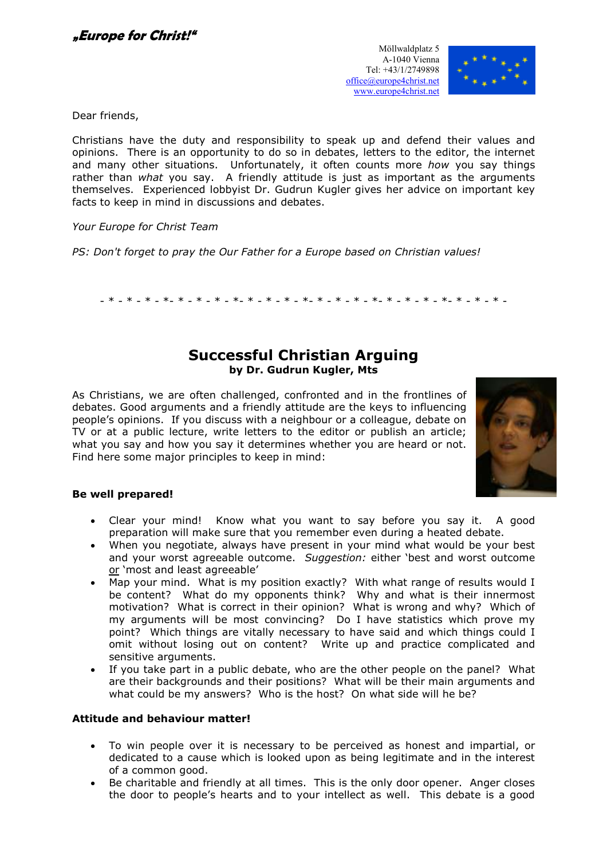

Dear friends,

Christians have the duty and responsibility to speak up and defend their values and opinions. There is an opportunity to do so in debates, letters to the editor, the internet and many other situations. Unfortunately, it often counts more how you say things rather than what you say. A friendly attitude is just as important as the arguments themselves. Experienced lobbyist Dr. Gudrun Kugler gives her advice on important key facts to keep in mind in discussions and debates.

Your Europe for Christ Team

PS: Don't forget to pray the Our Father for a Europe based on Christian values!

- \* - \* - \* - \*- \* - \* - \* - \*- \* - \* - \* - \*- \* - \* - \* - \*- \* - \* - \* - \*- \* - \* - \* -

# Successful Christian Arguing by Dr. Gudrun Kugler, Mts

As Christians, we are often challenged, confronted and in the frontlines of debates. Good arguments and a friendly attitude are the keys to influencing people's opinions. If you discuss with a neighbour or a colleague, debate on TV or at a public lecture, write letters to the editor or publish an article; what you say and how you say it determines whether you are heard or not. Find here some major principles to keep in mind:



## Be well prepared!

- Clear your mind! Know what you want to say before you say it. A good preparation will make sure that you remember even during a heated debate.
- When you negotiate, always have present in your mind what would be your best and your worst agreeable outcome. Suggestion: either 'best and worst outcome or 'most and least agreeable'
- Map your mind. What is my position exactly? With what range of results would I be content? What do my opponents think? Why and what is their innermost motivation? What is correct in their opinion? What is wrong and why? Which of my arguments will be most convincing? Do I have statistics which prove my point? Which things are vitally necessary to have said and which things could I omit without losing out on content? Write up and practice complicated and sensitive arguments.
- If you take part in a public debate, who are the other people on the panel? What are their backgrounds and their positions? What will be their main arguments and what could be my answers? Who is the host? On what side will he be?

## Attitude and behaviour matter!

- To win people over it is necessary to be perceived as honest and impartial, or dedicated to a cause which is looked upon as being legitimate and in the interest of a common good.
- Be charitable and friendly at all times. This is the only door opener. Anger closes the door to people's hearts and to your intellect as well. This debate is a good